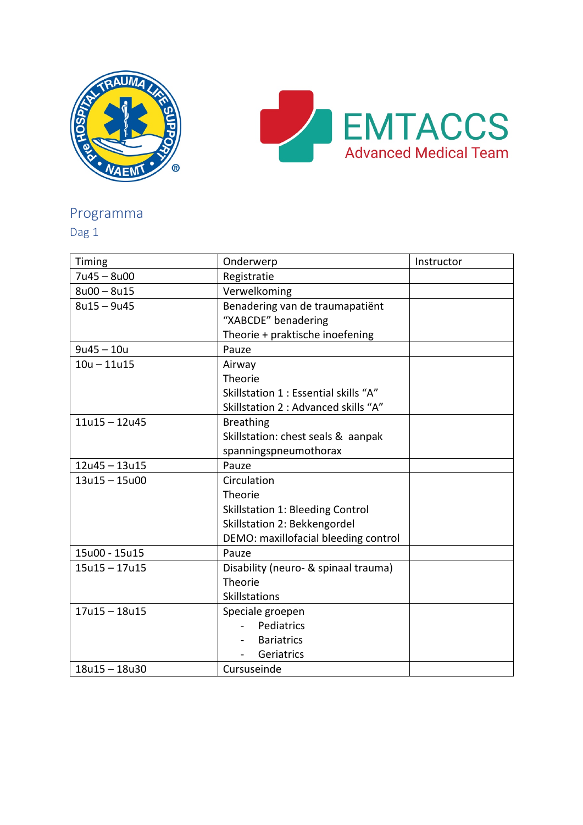



## Programma

Dag 1

| Timing          | Onderwerp                               | Instructor |
|-----------------|-----------------------------------------|------------|
| $7u45 - 8u00$   | Registratie                             |            |
| $8u00 - 8u15$   | Verwelkoming                            |            |
| $8u15 - 9u45$   | Benadering van de traumapatiënt         |            |
|                 | "XABCDE" benadering                     |            |
|                 | Theorie + praktische inoefening         |            |
| $9u45 - 10u$    | Pauze                                   |            |
| $10u - 11u15$   | Airway                                  |            |
|                 | Theorie                                 |            |
|                 | Skillstation 1 : Essential skills "A"   |            |
|                 | Skillstation 2 : Advanced skills "A"    |            |
| $11u15 - 12u45$ | <b>Breathing</b>                        |            |
|                 | Skillstation: chest seals & aanpak      |            |
|                 | spanningspneumothorax                   |            |
| $12u45 - 13u15$ | Pauze                                   |            |
| $13u15 - 15u00$ | Circulation                             |            |
|                 | Theorie                                 |            |
|                 | <b>Skillstation 1: Bleeding Control</b> |            |
|                 | Skillstation 2: Bekkengordel            |            |
|                 | DEMO: maxillofacial bleeding control    |            |
| 15u00 - 15u15   | Pauze                                   |            |
| $15u15 - 17u15$ | Disability (neuro- & spinaal trauma)    |            |
|                 | Theorie                                 |            |
|                 | Skillstations                           |            |
| $17u15 - 18u15$ | Speciale groepen                        |            |
|                 | Pediatrics                              |            |
|                 | <b>Bariatrics</b>                       |            |
|                 | Geriatrics                              |            |
| $18u15 - 18u30$ | Cursuseinde                             |            |